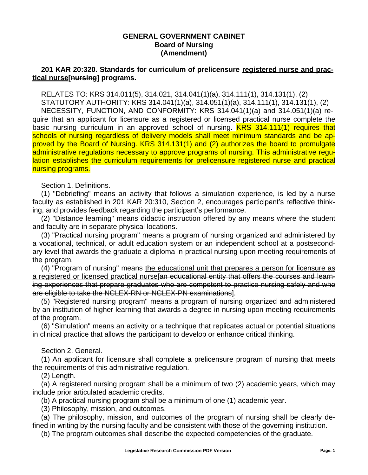### **GENERAL GOVERNMENT CABINET Board of Nursing (Amendment)**

# **201 KAR 20:320. Standards for curriculum of prelicensure registered nurse and practical nurse[nursing] programs.**

RELATES TO: KRS 314.011(5), 314.021, 314.041(1)(a), 314.111(1), 314.131(1), (2) STATUTORY AUTHORITY: KRS 314.041(1)(a), 314.051(1)(a), 314.111(1), 314.131(1), (2) NECESSITY, FUNCTION, AND CONFORMITY: KRS 314.041(1)(a) and 314.051(1)(a) require that an applicant for licensure as a registered or licensed practical nurse complete the basic nursing curriculum in an approved school of nursing. KRS 314.111(1) requires that schools of nursing regardless of delivery models shall meet minimum standards and be approved by the Board of Nursing. KRS 314.131(1) and (2) authorizes the board to promulgate administrative regulations necessary to approve programs of nursing. This administrative regulation establishes the curriculum requirements for prelicensure registered nurse and practical nursing programs.

Section 1. Definitions.

(1) "Debriefing" means an activity that follows a simulation experience, is led by a nurse faculty as established in 201 KAR 20:310, Section 2, encourages participant's reflective thinking, and provides feedback regarding the participant's performance.

(2) "Distance learning" means didactic instruction offered by any means where the student and faculty are in separate physical locations.

(3) "Practical nursing program" means a program of nursing organized and administered by a vocational, technical, or adult education system or an independent school at a postsecondary level that awards the graduate a diploma in practical nursing upon meeting requirements of the program.

(4) "Program of nursing" means the educational unit that prepares a person for licensure as a registered or licensed practical nurse [an educational entity that offers the courses and learning experiences that prepare graduates who are competent to practice nursing safely and who are eligible to take the NCLEX-RN or NCLEX-PN examinations].

(5) "Registered nursing program" means a program of nursing organized and administered by an institution of higher learning that awards a degree in nursing upon meeting requirements of the program.

(6) "Simulation" means an activity or a technique that replicates actual or potential situations in clinical practice that allows the participant to develop or enhance critical thinking.

#### Section 2. General.

(1) An applicant for licensure shall complete a prelicensure program of nursing that meets the requirements of this administrative regulation.

(2) Length.

(a) A registered nursing program shall be a minimum of two (2) academic years, which may include prior articulated academic credits.

(b) A practical nursing program shall be a minimum of one (1) academic year.

(3) Philosophy, mission, and outcomes.

(a) The philosophy, mission, and outcomes of the program of nursing shall be clearly defined in writing by the nursing faculty and be consistent with those of the governing institution.

(b) The program outcomes shall describe the expected competencies of the graduate.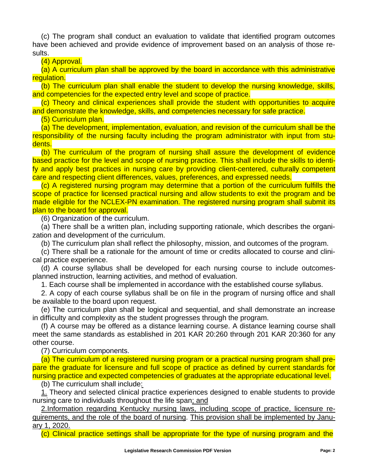(c) The program shall conduct an evaluation to validate that identified program outcomes have been achieved and provide evidence of improvement based on an analysis of those results.

(4) Approval.

(a) A curriculum plan shall be approved by the board in accordance with this administrative regulation.

(b) The curriculum plan shall enable the student to develop the nursing knowledge, skills, and competencies for the expected entry level and scope of practice.

(c) Theory and clinical experiences shall provide the student with opportunities to acquire and demonstrate the knowledge, skills, and competencies necessary for safe practice.

(5) Curriculum plan.

(a) The development, implementation, evaluation, and revision of the curriculum shall be the responsibility of the nursing faculty including the program administrator with input from students.

(b) The curriculum of the program of nursing shall assure the development of evidence based practice for the level and scope of nursing practice. This shall include the skills to identify and apply best practices in nursing care by providing client-centered, culturally competent care and respecting client differences, values, preferences, and expressed needs.

(c) A registered nursing program may determine that a portion of the curriculum fulfills the scope of practice for licensed practical nursing and allow students to exit the program and be made eligible for the NCLEX-PN examination. The registered nursing program shall submit its plan to the board for approval.

(6) Organization of the curriculum.

(a) There shall be a written plan, including supporting rationale, which describes the organization and development of the curriculum.

(b) The curriculum plan shall reflect the philosophy, mission, and outcomes of the program.

(c) There shall be a rationale for the amount of time or credits allocated to course and clinical practice experience.

(d) A course syllabus shall be developed for each nursing course to include outcomesplanned instruction, learning activities, and method of evaluation.

1. Each course shall be implemented in accordance with the established course syllabus.

2. A copy of each course syllabus shall be on file in the program of nursing office and shall be available to the board upon request.

(e) The curriculum plan shall be logical and sequential, and shall demonstrate an increase in difficulty and complexity as the student progresses through the program.

(f) A course may be offered as a distance learning course. A distance learning course shall meet the same standards as established in 201 KAR 20:260 through 201 KAR 20:360 for any other course.

(7) Curriculum components.

(a) The curriculum of a registered nursing program or a practical nursing program shall prepare the graduate for licensure and full scope of practice as defined by current standards for nursing practice and expected competencies of graduates at the appropriate educational level.

(b) The curriculum shall include:

1. Theory and selected clinical practice experiences designed to enable students to provide nursing care to individuals throughout the life span; and

2.Information regarding Kentucky nursing laws, including scope of practice, licensure requirements, and the role of the board of nursing. This provision shall be implemented by January 1, 2020.

(c) Clinical practice settings shall be appropriate for the type of nursing program and the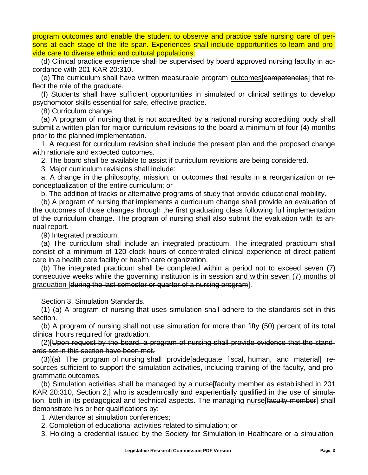program outcomes and enable the student to observe and practice safe nursing care of persons at each stage of the life span. Experiences shall include opportunities to learn and provide care to diverse ethnic and cultural populations.

(d) Clinical practice experience shall be supervised by board approved nursing faculty in accordance with 201 KAR 20:310.

(e) The curriculum shall have written measurable program outcomes[competencies] that reflect the role of the graduate.

(f) Students shall have sufficient opportunities in simulated or clinical settings to develop psychomotor skills essential for safe, effective practice.

(8) Curriculum change.

(a) A program of nursing that is not accredited by a national nursing accrediting body shall submit a written plan for major curriculum revisions to the board a minimum of four (4) months prior to the planned implementation.

1. A request for curriculum revision shall include the present plan and the proposed change with rationale and expected outcomes.

2. The board shall be available to assist if curriculum revisions are being considered.

3. Major curriculum revisions shall include:

a. A change in the philosophy, mission, or outcomes that results in a reorganization or reconceptualization of the entire curriculum; or

b. The addition of tracks or alternative programs of study that provide educational mobility.

(b) A program of nursing that implements a curriculum change shall provide an evaluation of the outcomes of those changes through the first graduating class following full implementation of the curriculum change. The program of nursing shall also submit the evaluation with its annual report.

(9) Integrated practicum.

(a) The curriculum shall include an integrated practicum. The integrated practicum shall consist of a minimum of 120 clock hours of concentrated clinical experience of direct patient care in a health care facility or health care organization.

(b) The integrated practicum shall be completed within a period not to exceed seven (7) consecutive weeks while the governing institution is in session and within seven (7) months of graduation [during the last semester or quarter of a nursing program].

Section 3. Simulation Standards.

(1) (a) A program of nursing that uses simulation shall adhere to the standards set in this section.

(b) A program of nursing shall not use simulation for more than fifty (50) percent of its total clinical hours required for graduation.

(2)[Upon request by the board, a program of nursing shall provide evidence that the standards set in this section have been met.

(3)](a) The program of nursing shall provide[adequate fiscal, human, and material] resources sufficient to support the simulation activities, including training of the faculty, and programmatic outcomes.

(b) Simulation activities shall be managed by a nurselfaculty member as established in 201 KAR 20:310, Section 2,] who is academically and experientially qualified in the use of simulation, both in its pedagogical and technical aspects. The managing nurse faculty member shall demonstrate his or her qualifications by:

1. Attendance at simulation conferences;

2. Completion of educational activities related to simulation; or

3. Holding a credential issued by the Society for Simulation in Healthcare or a simulation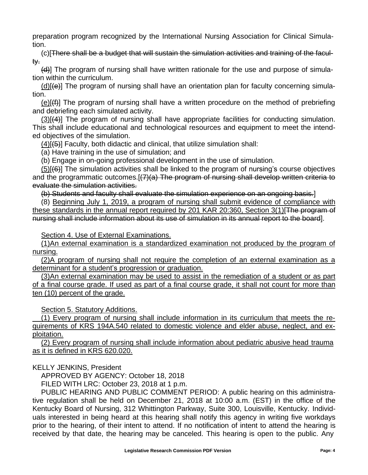preparation program recognized by the International Nursing Association for Clinical Simulation.

(c)[There shall be a budget that will sustain the simulation activities and training of the faculty.

(d)] The program of nursing shall have written rationale for the use and purpose of simulation within the curriculum.

 $(d)$ [ $\leftrightarrow$ ] The program of nursing shall have an orientation plan for faculty concerning simulation.

(e)[(f)] The program of nursing shall have a written procedure on the method of prebriefing and debriefing each simulated activity.

(3)[(4)] The program of nursing shall have appropriate facilities for conducting simulation. This shall include educational and technological resources and equipment to meet the intended objectives of the simulation.

 $(4)[(5)]$  Faculty, both didactic and clinical, that utilize simulation shall:

(a) Have training in the use of simulation; and

(b) Engage in on-going professional development in the use of simulation.

 $(5)$ [ $(6)$ ] The simulation activities shall be linked to the program of nursing's course objectives and the programmatic outcomes. [(7)(a) The program of nursing shall develop written criteria to evaluate the simulation activities.

(b) Students and faculty shall evaluate the simulation experience on an ongoing basis.]

(8) Beginning July 1, 2019, a program of nursing shall submit evidence of compliance with these standards in the annual report required by 201 KAR 20:360, Section 3(1)[The program of nursing shall include information about its use of simulation in its annual report to the board].

Section 4. Use of External Examinations.

(1)An external examination is a standardized examination not produced by the program of nursing.

(2)A program of nursing shall not require the completion of an external examination as a determinant for a student's progression or graduation.

(3)An external examination may be used to assist in the remediation of a student or as part of a final course grade. If used as part of a final course grade, it shall not count for more than ten (10) percent of the grade.

Section 5. Statutory Additions.

 (1) Every program of nursing shall include information in its curriculum that meets the requirements of KRS 194A.540 related to domestic violence and elder abuse, neglect, and exploitation.

(2) Every program of nursing shall include information about pediatric abusive head trauma as it is defined in KRS 620.020.

KELLY JENKINS, President

APPROVED BY AGENCY: October 18, 2018

FILED WITH LRC: October 23, 2018 at 1 p.m.

PUBLIC HEARING AND PUBLIC COMMENT PERIOD: A public hearing on this administrative regulation shall be held on December 21, 2018 at 10:00 a.m. (EST) in the office of the Kentucky Board of Nursing, 312 Whittington Parkway, Suite 300, Louisville, Kentucky. Individuals interested in being heard at this hearing shall notify this agency in writing five workdays prior to the hearing, of their intent to attend. If no notification of intent to attend the hearing is received by that date, the hearing may be canceled. This hearing is open to the public. Any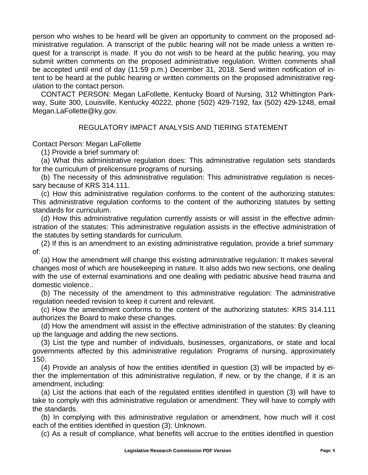person who wishes to be heard will be given an opportunity to comment on the proposed administrative regulation. A transcript of the public hearing will not be made unless a written request for a transcript is made. If you do not wish to be heard at the public hearing, you may submit written comments on the proposed administrative regulation. Written comments shall be accepted until end of day (11:59 p.m.) December 31, 2018. Send written notification of intent to be heard at the public hearing or written comments on the proposed administrative regulation to the contact person.

CONTACT PERSON: Megan LaFollette, Kentucky Board of Nursing, 312 Whittington Parkway, Suite 300, Louisville, Kentucky 40222, phone (502) 429-7192, fax (502) 429-1248, emai[l](mailto:Megan.LaFollette@ky.gov) [Megan.LaFollette@ky.gov.](mailto:Megan.LaFollette@ky.gov)

# REGULATORY IMPACT ANALYSIS AND TIERING STATEMENT

Contact Person: Megan LaFollette

(1) Provide a brief summary of:

(a) What this administrative regulation does: This administrative regulation sets standards for the curriculum of prelicensure programs of nursing.

(b) The necessity of this administrative regulation: This administrative regulation is necessary because of KRS 314.111.

(c) How this administrative regulation conforms to the content of the authorizing statutes: This administrative regulation conforms to the content of the authorizing statutes by setting standards for curriculum.

(d) How this administrative regulation currently assists or will assist in the effective administration of the statutes: This administrative regulation assists in the effective administration of the statutes by setting standards for curriculum.

(2) If this is an amendment to an existing administrative regulation, provide a brief summary of:

(a) How the amendment will change this existing administrative regulation: It makes several changes most of which are housekeeping in nature. It also adds two new sections, one dealing with the use of external examinations and one dealing with pediatric abusive head trauma and domestic violence..

(b) The necessity of the amendment to this administrative regulation: The administrative regulation needed revision to keep it current and relevant.

(c) How the amendment conforms to the content of the authorizing statutes: KRS 314.111 authorizes the Board to make these changes.

(d) How the amendment will assist in the effective administration of the statutes: By cleaning up the language and adding the new sections.

(3) List the type and number of individuals, businesses, organizations, or state and local governments affected by this administrative regulation: Programs of nursing, approximately 150.

(4) Provide an analysis of how the entities identified in question (3) will be impacted by either the implementation of this administrative regulation, if new, or by the change, if it is an amendment, including:

(a) List the actions that each of the regulated entities identified in question (3) will have to take to comply with this administrative regulation or amendment: They will have to comply with the standards.

(b) In complying with this administrative regulation or amendment, how much will it cost each of the entities identified in question (3): Unknown.

(c) As a result of compliance, what benefits will accrue to the entities identified in question